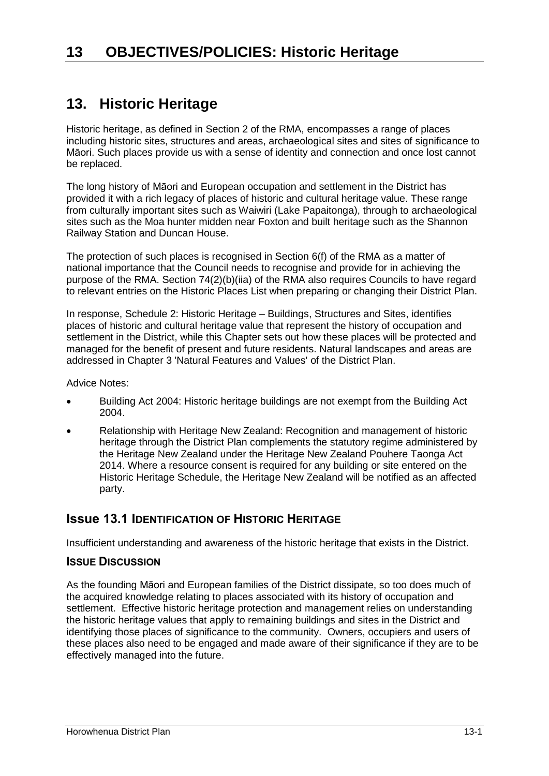# **13. Historic Heritage**

Historic heritage, as defined in Section 2 of the RMA, encompasses a range of places including historic sites, structures and areas, archaeological sites and sites of significance to Māori. Such places provide us with a sense of identity and connection and once lost cannot be replaced.

The long history of Māori and European occupation and settlement in the District has provided it with a rich legacy of places of historic and cultural heritage value. These range from culturally important sites such as Waiwiri (Lake Papaitonga), through to archaeological sites such as the Moa hunter midden near Foxton and built heritage such as the Shannon Railway Station and Duncan House.

The protection of such places is recognised in Section 6(f) of the RMA as a matter of national importance that the Council needs to recognise and provide for in achieving the purpose of the RMA. Section 74(2)(b)(iia) of the RMA also requires Councils to have regard to relevant entries on the Historic Places List when preparing or changing their District Plan.

In response, Schedule 2: Historic Heritage – Buildings, Structures and Sites, identifies places of historic and cultural heritage value that represent the history of occupation and settlement in the District, while this Chapter sets out how these places will be protected and managed for the benefit of present and future residents. Natural landscapes and areas are addressed in Chapter 3 'Natural Features and Values' of the District Plan.

Advice Notes:

- Building Act 2004: Historic heritage buildings are not exempt from the Building Act 2004.
- Relationship with Heritage New Zealand: Recognition and management of historic heritage through the District Plan complements the statutory regime administered by the Heritage New Zealand under the Heritage New Zealand Pouhere Taonga Act 2014. Where a resource consent is required for any building or site entered on the Historic Heritage Schedule, the Heritage New Zealand will be notified as an affected party.

## **Issue 13.1 IDENTIFICATION OF HISTORIC HERITAGE**

Insufficient understanding and awareness of the historic heritage that exists in the District.

#### **ISSUE DISCUSSION**

As the founding Māori and European families of the District dissipate, so too does much of the acquired knowledge relating to places associated with its history of occupation and settlement. Effective historic heritage protection and management relies on understanding the historic heritage values that apply to remaining buildings and sites in the District and identifying those places of significance to the community. Owners, occupiers and users of these places also need to be engaged and made aware of their significance if they are to be effectively managed into the future.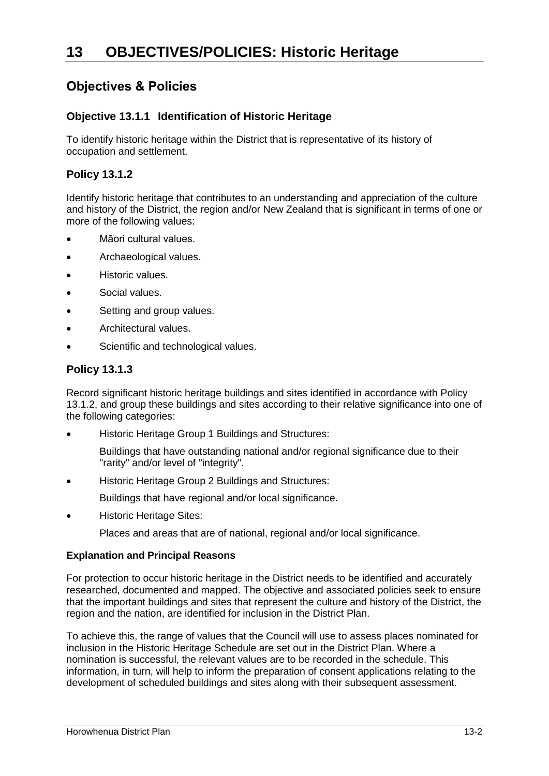# **Objectives & Policies**

### **Objective 13.1.1 Identification of Historic Heritage**

To identify historic heritage within the District that is representative of its history of occupation and settlement.

### **Policy 13.1.2**

Identify historic heritage that contributes to an understanding and appreciation of the culture and history of the District, the region and/or New Zealand that is significant in terms of one or more of the following values:

- Māori cultural values.
- Archaeological values.
- Historic values.
- Social values.
- Setting and group values.
- Architectural values.
- Scientific and technological values.

### **Policy 13.1.3**

Record significant historic heritage buildings and sites identified in accordance with Policy 13.1.2, and group these buildings and sites according to their relative significance into one of the following categories:

Historic Heritage Group 1 Buildings and Structures:

Buildings that have outstanding national and/or regional significance due to their "rarity" and/or level of "integrity".

Historic Heritage Group 2 Buildings and Structures:

Buildings that have regional and/or local significance.

Historic Heritage Sites:

Places and areas that are of national, regional and/or local significance.

#### **Explanation and Principal Reasons**

For protection to occur historic heritage in the District needs to be identified and accurately researched, documented and mapped. The objective and associated policies seek to ensure that the important buildings and sites that represent the culture and history of the District, the region and the nation, are identified for inclusion in the District Plan.

To achieve this, the range of values that the Council will use to assess places nominated for inclusion in the Historic Heritage Schedule are set out in the District Plan. Where a nomination is successful, the relevant values are to be recorded in the schedule. This information, in turn, will help to inform the preparation of consent applications relating to the development of scheduled buildings and sites along with their subsequent assessment.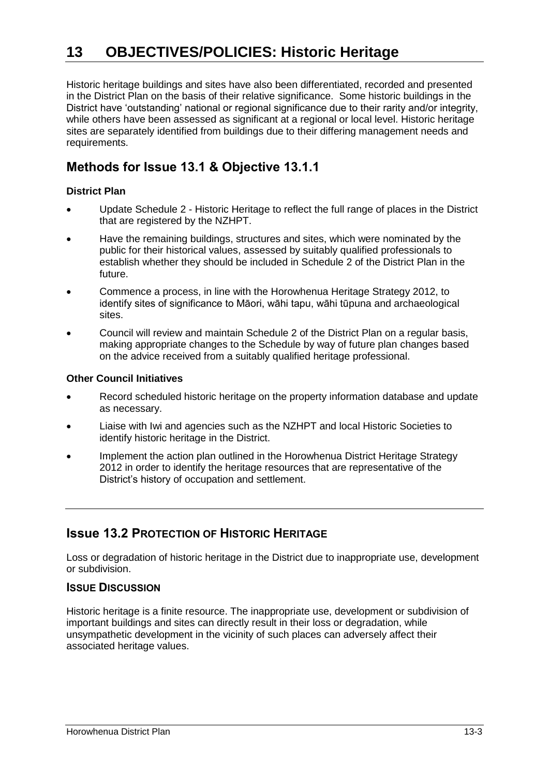# **13 OBJECTIVES/POLICIES: Historic Heritage**

Historic heritage buildings and sites have also been differentiated, recorded and presented in the District Plan on the basis of their relative significance. Some historic buildings in the District have 'outstanding' national or regional significance due to their rarity and/or integrity, while others have been assessed as significant at a regional or local level. Historic heritage sites are separately identified from buildings due to their differing management needs and requirements.

# **Methods for Issue 13.1 & Objective 13.1.1**

#### **District Plan**

- Update Schedule 2 Historic Heritage to reflect the full range of places in the District that are registered by the NZHPT.
- Have the remaining buildings, structures and sites, which were nominated by the public for their historical values, assessed by suitably qualified professionals to establish whether they should be included in Schedule 2 of the District Plan in the future.
- Commence a process, in line with the Horowhenua Heritage Strategy 2012, to identify sites of significance to Māori, wāhi tapu, wāhi tūpuna and archaeological sites.
- Council will review and maintain Schedule 2 of the District Plan on a regular basis, making appropriate changes to the Schedule by way of future plan changes based on the advice received from a suitably qualified heritage professional.

#### **Other Council Initiatives**

- Record scheduled historic heritage on the property information database and update as necessary.
- Liaise with Iwi and agencies such as the NZHPT and local Historic Societies to identify historic heritage in the District.
- Implement the action plan outlined in the Horowhenua District Heritage Strategy 2012 in order to identify the heritage resources that are representative of the District's history of occupation and settlement.

## **Issue 13.2 PROTECTION OF HISTORIC HERITAGE**

Loss or degradation of historic heritage in the District due to inappropriate use, development or subdivision.

#### **ISSUE DISCUSSION**

Historic heritage is a finite resource. The inappropriate use, development or subdivision of important buildings and sites can directly result in their loss or degradation, while unsympathetic development in the vicinity of such places can adversely affect their associated heritage values.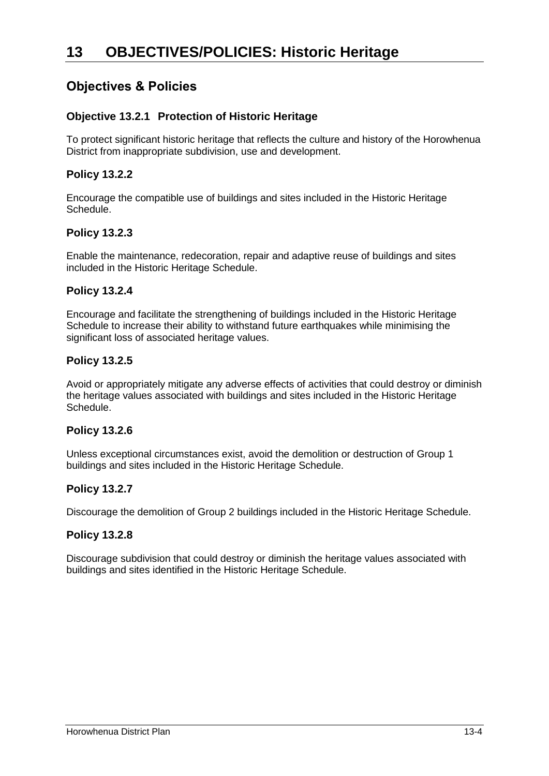# **Objectives & Policies**

### **Objective 13.2.1 Protection of Historic Heritage**

To protect significant historic heritage that reflects the culture and history of the Horowhenua District from inappropriate subdivision, use and development.

#### **Policy 13.2.2**

Encourage the compatible use of buildings and sites included in the Historic Heritage Schedule.

### **Policy 13.2.3**

Enable the maintenance, redecoration, repair and adaptive reuse of buildings and sites included in the Historic Heritage Schedule.

#### **Policy 13.2.4**

Encourage and facilitate the strengthening of buildings included in the Historic Heritage Schedule to increase their ability to withstand future earthquakes while minimising the significant loss of associated heritage values.

#### **Policy 13.2.5**

Avoid or appropriately mitigate any adverse effects of activities that could destroy or diminish the heritage values associated with buildings and sites included in the Historic Heritage Schedule.

#### **Policy 13.2.6**

Unless exceptional circumstances exist, avoid the demolition or destruction of Group 1 buildings and sites included in the Historic Heritage Schedule.

#### **Policy 13.2.7**

Discourage the demolition of Group 2 buildings included in the Historic Heritage Schedule.

#### **Policy 13.2.8**

Discourage subdivision that could destroy or diminish the heritage values associated with buildings and sites identified in the Historic Heritage Schedule.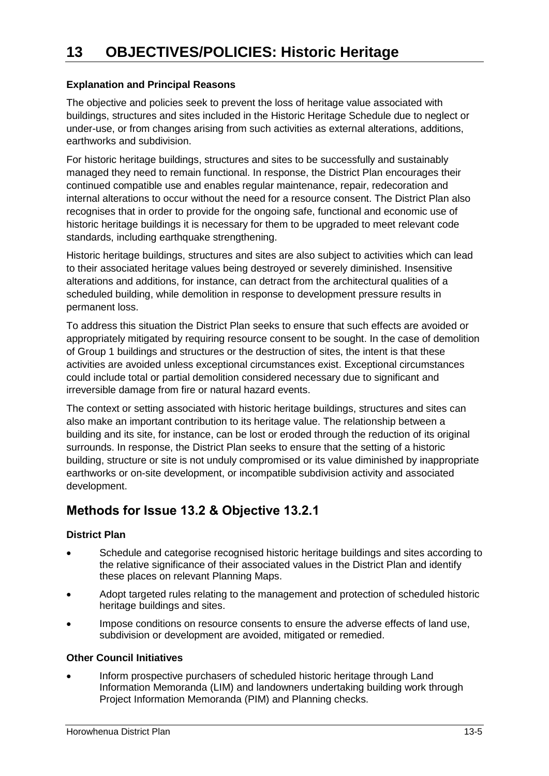### **Explanation and Principal Reasons**

The objective and policies seek to prevent the loss of heritage value associated with buildings, structures and sites included in the Historic Heritage Schedule due to neglect or under-use, or from changes arising from such activities as external alterations, additions, earthworks and subdivision.

For historic heritage buildings, structures and sites to be successfully and sustainably managed they need to remain functional. In response, the District Plan encourages their continued compatible use and enables regular maintenance, repair, redecoration and internal alterations to occur without the need for a resource consent. The District Plan also recognises that in order to provide for the ongoing safe, functional and economic use of historic heritage buildings it is necessary for them to be upgraded to meet relevant code standards, including earthquake strengthening.

Historic heritage buildings, structures and sites are also subject to activities which can lead to their associated heritage values being destroyed or severely diminished. Insensitive alterations and additions, for instance, can detract from the architectural qualities of a scheduled building, while demolition in response to development pressure results in permanent loss.

To address this situation the District Plan seeks to ensure that such effects are avoided or appropriately mitigated by requiring resource consent to be sought. In the case of demolition of Group 1 buildings and structures or the destruction of sites, the intent is that these activities are avoided unless exceptional circumstances exist. Exceptional circumstances could include total or partial demolition considered necessary due to significant and irreversible damage from fire or natural hazard events.

The context or setting associated with historic heritage buildings, structures and sites can also make an important contribution to its heritage value. The relationship between a building and its site, for instance, can be lost or eroded through the reduction of its original surrounds. In response, the District Plan seeks to ensure that the setting of a historic building, structure or site is not unduly compromised or its value diminished by inappropriate earthworks or on-site development, or incompatible subdivision activity and associated development.

# **Methods for Issue 13.2 & Objective 13.2.1**

#### **District Plan**

- Schedule and categorise recognised historic heritage buildings and sites according to the relative significance of their associated values in the District Plan and identify these places on relevant Planning Maps.
- Adopt targeted rules relating to the management and protection of scheduled historic heritage buildings and sites.
- Impose conditions on resource consents to ensure the adverse effects of land use, subdivision or development are avoided, mitigated or remedied.

#### **Other Council Initiatives**

 Inform prospective purchasers of scheduled historic heritage through Land Information Memoranda (LIM) and landowners undertaking building work through Project Information Memoranda (PIM) and Planning checks.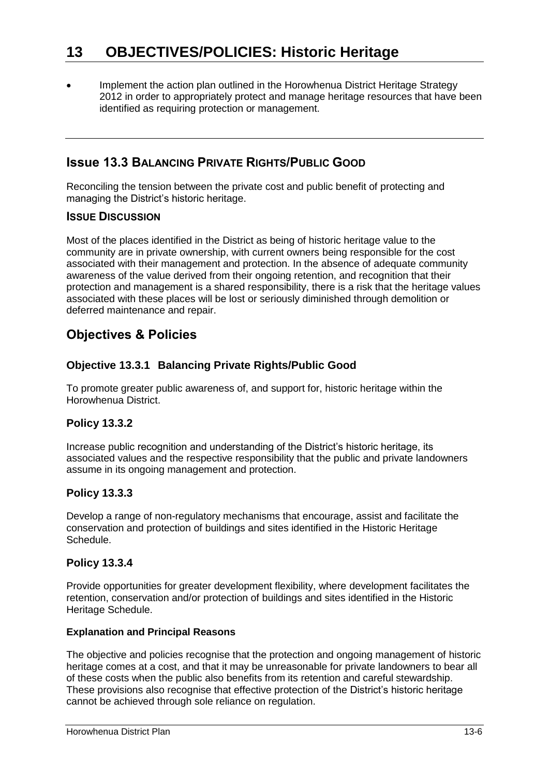Implement the action plan outlined in the Horowhenua District Heritage Strategy 2012 in order to appropriately protect and manage heritage resources that have been identified as requiring protection or management.

# **Issue 13.3 BALANCING PRIVATE RIGHTS/PUBLIC GOOD**

Reconciling the tension between the private cost and public benefit of protecting and managing the District's historic heritage.

#### **ISSUE DISCUSSION**

Most of the places identified in the District as being of historic heritage value to the community are in private ownership, with current owners being responsible for the cost associated with their management and protection. In the absence of adequate community awareness of the value derived from their ongoing retention, and recognition that their protection and management is a shared responsibility, there is a risk that the heritage values associated with these places will be lost or seriously diminished through demolition or deferred maintenance and repair.

# **Objectives & Policies**

### **Objective 13.3.1 Balancing Private Rights/Public Good**

To promote greater public awareness of, and support for, historic heritage within the Horowhenua District.

### **Policy 13.3.2**

Increase public recognition and understanding of the District's historic heritage, its associated values and the respective responsibility that the public and private landowners assume in its ongoing management and protection.

### **Policy 13.3.3**

Develop a range of non-regulatory mechanisms that encourage, assist and facilitate the conservation and protection of buildings and sites identified in the Historic Heritage Schedule.

### **Policy 13.3.4**

Provide opportunities for greater development flexibility, where development facilitates the retention, conservation and/or protection of buildings and sites identified in the Historic Heritage Schedule.

#### **Explanation and Principal Reasons**

The objective and policies recognise that the protection and ongoing management of historic heritage comes at a cost, and that it may be unreasonable for private landowners to bear all of these costs when the public also benefits from its retention and careful stewardship. These provisions also recognise that effective protection of the District's historic heritage cannot be achieved through sole reliance on regulation.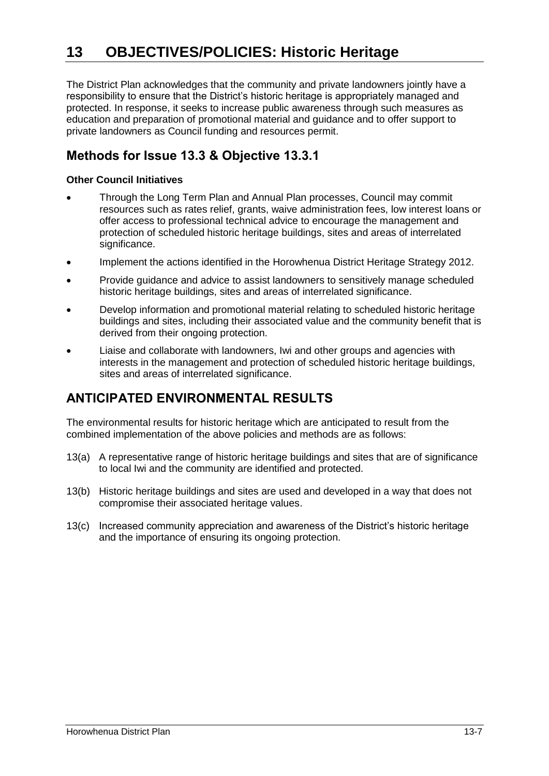# **13 OBJECTIVES/POLICIES: Historic Heritage**

The District Plan acknowledges that the community and private landowners jointly have a responsibility to ensure that the District's historic heritage is appropriately managed and protected. In response, it seeks to increase public awareness through such measures as education and preparation of promotional material and guidance and to offer support to private landowners as Council funding and resources permit.

# **Methods for Issue 13.3 & Objective 13.3.1**

#### **Other Council Initiatives**

- Through the Long Term Plan and Annual Plan processes, Council may commit resources such as rates relief, grants, waive administration fees, low interest loans or offer access to professional technical advice to encourage the management and protection of scheduled historic heritage buildings, sites and areas of interrelated significance.
- Implement the actions identified in the Horowhenua District Heritage Strategy 2012.
- Provide guidance and advice to assist landowners to sensitively manage scheduled historic heritage buildings, sites and areas of interrelated significance.
- Develop information and promotional material relating to scheduled historic heritage buildings and sites, including their associated value and the community benefit that is derived from their ongoing protection.
- Liaise and collaborate with landowners, Iwi and other groups and agencies with interests in the management and protection of scheduled historic heritage buildings, sites and areas of interrelated significance.

# **ANTICIPATED ENVIRONMENTAL RESULTS**

The environmental results for historic heritage which are anticipated to result from the combined implementation of the above policies and methods are as follows:

- 13(a) A representative range of historic heritage buildings and sites that are of significance to local Iwi and the community are identified and protected.
- 13(b) Historic heritage buildings and sites are used and developed in a way that does not compromise their associated heritage values.
- 13(c) Increased community appreciation and awareness of the District's historic heritage and the importance of ensuring its ongoing protection.